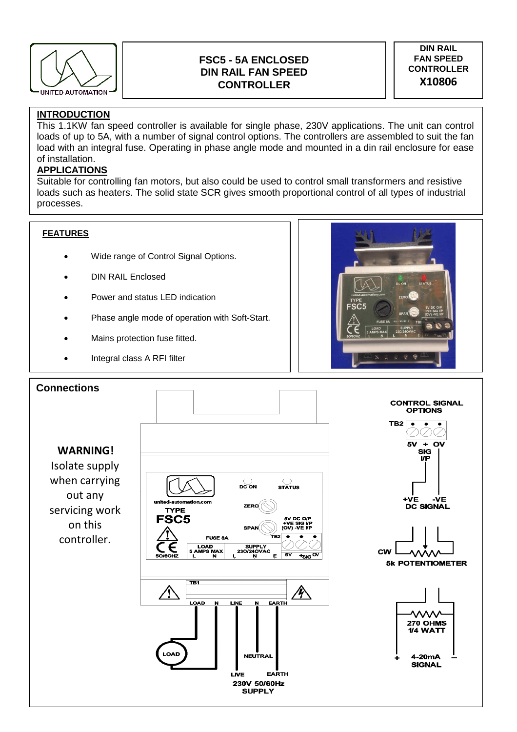

# **FSC5 - 5A ENCLOSED DIN RAIL FAN SPEED CONTROLLER**

### **DIN RAIL FAN SPEED CONTROLLER**  X10806

## **INTRODUCTION**

This 1.1KW fan speed controller is available for single phase, 230V applications. The unit can control loads of up to 5A, with a number of signal control options. The controllers are assembled to suit the fan load with an integral fuse. Operating in phase angle mode and mounted in a din rail enclosure for ease of installation.

### **APPLICATIONS**

Suitable for controlling fan motors, but also could be used to control small transformers and resistive loads such as heaters. The solid state SCR gives smooth proportional control of all types of industrial processes.

### **FEATURES**

- Wide range of Control Signal Options.
- DIN RAIL Enclosed
- Power and status LED indication
- Phase angle mode of operation with Soft-Start.
- Mains protection fuse fitted.
- Integral class A RFI filter